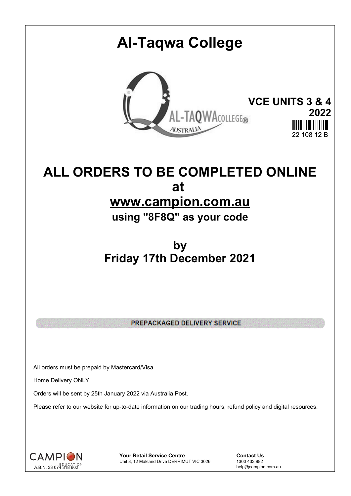# **Al-Taqwa College VCE UNITS 3 & 4** TAQWACOLLEGE® **2022 AUSTRALIA** 22 108 12 F

## **ALL ORDERS TO BE COMPLETED ONLINE at www.campion.com.au**

**using "8F8Q" as your code**

## **by Friday 17th December 2021**

PREPACKAGED DELIVERY SERVICE

All orders must be prepaid by Mastercard/Visa

Home Delivery ONLY

Orders will be sent by 25th January 2022 via Australia Post.

Please refer to our website for up-to-date information on our trading hours, refund policy and digital resources.



**Your Retail Service Centre Contact Us**<br>
Unit 8, 12 Makland Drive DERRIMUT VIC 3026
1300 433 982 Unit 8, 12 Makland Drive DERRIMUT VIC 3026

help@campion.com.au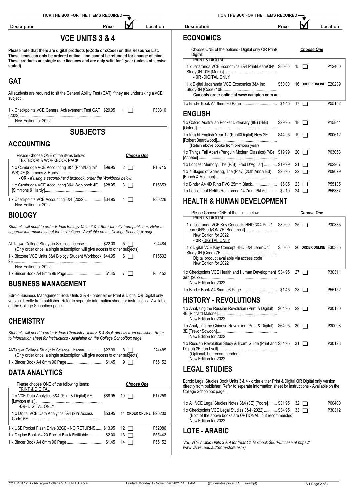| TICK THE BOX FOR THE ITEMS REQUIRED -                                                                                                                                                   | TICK THE BOX FOR THE ITEMS REQUIRED -                                                                                       |                                                         |                                |                  |  |
|-----------------------------------------------------------------------------------------------------------------------------------------------------------------------------------------|-----------------------------------------------------------------------------------------------------------------------------|---------------------------------------------------------|--------------------------------|------------------|--|
| Price<br>Location<br><b>Description</b>                                                                                                                                                 | <b>Description</b><br>Price                                                                                                 |                                                         |                                | Location         |  |
| <b>VCE UNITS 3 &amp; 4</b>                                                                                                                                                              | <b>ECONOMICS</b>                                                                                                            |                                                         |                                |                  |  |
| Please note that there are digital products (eCode or cCode) on this Resource List.<br>These items can only be ordered online, and cannot be refunded for change of mind.               | Choose ONE of the options - Digital only OR Print/<br>Digital:                                                              |                                                         | <b>Choose One</b>              |                  |  |
| These products are single user licences and are only valid for 1 year (unless otherwise<br>stated).                                                                                     | PRINT & DIGITAL<br>1 x Jacaranda VCE Economics 3&4 Print/LearnON/ \$80.00 15                                                |                                                         |                                | P12460           |  |
| <b>GAT</b>                                                                                                                                                                              | - OR -DIGITAL ONLY<br>1 x Digital Jacaranda VCE Economics 3&4 inc                                                           |                                                         | \$50.00 16 ORDER ONLINE E20239 |                  |  |
| All students are required to sit the General Ability Test (GAT) if they are undertaking a VCE<br>subject.                                                                               | Can only order online at www.campion.com.au                                                                                 |                                                         |                                |                  |  |
| 1 x Checkpoints VCE General Achievement Test GAT \$29.95 1<br>P30310                                                                                                                    |                                                                                                                             |                                                         |                                | P55152           |  |
| New Edition for 2022                                                                                                                                                                    | <b>ENGLISH</b><br>1 x Oxford Australian Pocket Dictionary (8E) (H/B) \$29.95                                                |                                                         | 18 $\Box$                      | P15844           |  |
| <b>SUBJECTS</b>                                                                                                                                                                         | 1 x Insight English Year 12 (Print&Digital) New 2E                                                                          | \$44.95                                                 | 19 $\Box$                      | P00612           |  |
| <b>ACCOUNTING</b>                                                                                                                                                                       | (Retain above books from previous year)                                                                                     |                                                         |                                |                  |  |
| Please Choose ONE of the items below:<br><b>Choose One</b>                                                                                                                              | 1 x Things Fall Apart (Penguin Modern Classics)(P/B) \$19.99 20                                                             |                                                         |                                | P03053           |  |
| <b>TEXTBOOK &amp; WORKBOOK PACK</b><br>1 x Cambridge VCE Accounting 3&4 (Print/Digital/<br>P15715<br>\$99.95<br>$2\Box$                                                                 | 1 x Longest Memory, The (P/B) [Fred D'Aguiar]  \$19.99 21                                                                   |                                                         |                                | P02967           |  |
| - OR - If using a second-hand textbook, order the Workbook below:                                                                                                                       | 1 x 7 Stages of Grieving, The (Play) (25th Anniv Ed) \$25.95 22                                                             |                                                         |                                | P09079           |  |
| 1 x Cambridge VCE Accounting 3&4 Workbook 4E \$28.95<br>P15653<br>$3\Box$                                                                                                               | 1 x Loose Leaf Refills Reinforced A4 7mm Pkt 50  \$2.10 24                                                                  |                                                         |                                | P55135<br>P56387 |  |
| 1 x Checkpoints VCE Accounting 3&4 (2022) \$34.95<br>P30226<br>$4\Box$<br>New Edition for 2022                                                                                          | <b>HEALTH &amp; HUMAN DEVELOPMENT</b>                                                                                       |                                                         |                                |                  |  |
| <b>BIOLOGY</b>                                                                                                                                                                          | Please Choose ONE of the items below:<br><b>PRINT &amp; DIGITAL</b>                                                         |                                                         | <b>Choose One</b>              |                  |  |
| Students will need to order Edrolo Biology Units 3 & 4 Book directly from publisher. Refer to<br>seperate information sheet for instructions - Available on the College Schoolbox page. | 1 x Jacaranda VCE Key Concepts HHD 3&4 Print/ \$80.00 25<br>LearnON/StudyON 7E [Beaumont]<br>New Edition for 2022           |                                                         |                                | P30335           |  |
| Al-Taqwa College Studyclix Science License \$22.00<br>F24484<br>$5 \mid \mid$<br>(Only order once; a single subscription will give access to other subjects)                            | - OR -DIGITAL ONLY<br>1 x Digital VCE Key Concept HHD 3&4 LearnOn/ \$50.00 26 ORDER ONLINE E30335                           |                                                         |                                |                  |  |
| 1 x Biozone VCE Units 3&4 Biology Student Workbook \$44.95 6<br>P15502                                                                                                                  | Digital product available via access code<br>New Edition for 2022                                                           |                                                         |                                |                  |  |
| New Edition for 2022<br>P55152                                                                                                                                                          | 1 x Checkpoints VCE Health and Human Development \$34.95 27                                                                 |                                                         |                                | P30311           |  |
| <b>BUSINESS MANAGEMENT</b>                                                                                                                                                              | New Edition for 2022                                                                                                        |                                                         |                                |                  |  |
| Edrolo Business Management Book Units 3 & 4 - order either Print & Digital OR Digital only                                                                                              |                                                                                                                             |                                                         |                                | P55152           |  |
| version directly from publisher. Refer to seperate information sheet for instructions - Available<br>on the College Schoolbox page.                                                     | <b>HISTORY - REVOLUTIONS</b><br>1 x Analysing the Russian Revolution (Print & Digital) \$64.95 29                           |                                                         |                                | P30130           |  |
| <b>CHEMISTRY</b>                                                                                                                                                                        | New Edition for 2022<br>1 x Analysing the Chinese Revolution (Print & Digital) \$64.95 30                                   |                                                         |                                | P30098           |  |
| Students will need to order Edrolo Chemistry Units 3 & 4 Book directly from publisher. Refer<br>to information sheet for instructions - Available on the College Schoolbox page.        | New Edition for 2022<br>1 x Russian Revolution Study & Exam Guide (Print and \$34.95 31                                     |                                                         |                                | P30123           |  |
| Al-Taqwa College Studyclix Science License \$22.00 8<br>F24485<br>(Only order once; a single subscription will give access to other subjects)                                           | (Optional, but recommended)                                                                                                 |                                                         |                                |                  |  |
| P55152                                                                                                                                                                                  | New Edition for 2022<br><b>LEGAL STUDIES</b>                                                                                |                                                         |                                |                  |  |
| <b>DATA ANALYTICS</b>                                                                                                                                                                   | Edrolo Legal Studies Book Units 3 & 4 - order either Print & Digital OR Digital only version                                |                                                         |                                |                  |  |
| Please choose ONE of the following items:<br><b>Choose One</b><br>PRINT & DIGITAL                                                                                                       | directly from publisher. Refer to seperate information sheet for instructions - Available on the<br>College Schoolbox page. |                                                         |                                |                  |  |
| 1 x VCE Data Analytics 3&4 (Print & Digital) 5E<br>P17258<br>\$88.95<br>$10$ $\Box$                                                                                                     | 1 x A+ VCE Legal Studies Notes 3&4 (3E) [Poore] \$31.95 32                                                                  |                                                         |                                | P00400           |  |
| -OR-DIGITAL ONLY<br>1 x Digital VCE Data Analytics 3&4 (2Yr Access<br>11 ORDER ONLINE E20200<br>\$53.95                                                                                 | 1 x Checkpoints VCE Legal Studies 3&4 (2022) \$34.95 33                                                                     | (Both of the above books are OPTIONAL, but recommended) |                                | P30312           |  |

(Both of the above books are OPTIONAL, but recommended) The <u>Form of Edition for 2022 Code</u> 1 x Checkpoints VCE Legal Studies 3&4 (2022)................ \$34.95 33 P30312<br>1 x Checkpoints VCE Legal Studies 3&4 (2022) Memory Studies 3&4 (2022) And the above books are OPTIONAL, bu

#### **LOTE - ARABIC**

*VSL VCE Arabic Units 3 & 4 for Year 12 Textbook \$80(Purchase at https:// www.vsl.vic.edu.au/Store/store.aspx)*

1 x USB Pocket Flash Drive 32GB - NO RETURNS...... \$13.95 12 P52086 1 x Display Book A4 20 Pocket Black Refillable.............. \$2.00 13 **Decimal P55442** 1 x Binder Book A4 8mm 96 Page ................................. \$1.45 14 P55152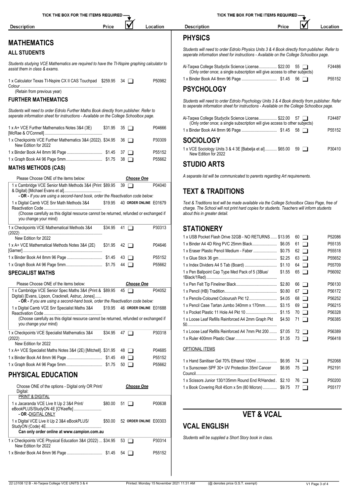| <b>Description</b>                                                                                                                                                                | Price |                                             |                                | Location | <b>Description</b><br>Price<br>Location                                                                                                                                                                                   |                  |
|-----------------------------------------------------------------------------------------------------------------------------------------------------------------------------------|-------|---------------------------------------------|--------------------------------|----------|---------------------------------------------------------------------------------------------------------------------------------------------------------------------------------------------------------------------------|------------------|
| <b>MATHEMATICS</b>                                                                                                                                                                |       |                                             |                                |          | <b>PHYSICS</b>                                                                                                                                                                                                            |                  |
| <b>ALL STUDENTS</b>                                                                                                                                                               |       |                                             |                                |          | Students will need to order Edrolo Physics Units 3 & 4 Book directly from publisher. Refer to<br>seperate information sheet for instructions - Available on the College Schoolbox page.                                   |                  |
| Students studying VCE Mathematics are required to have the TI-Nspire graphing calculator to<br>assist them in class & exams.                                                      |       |                                             |                                |          | Al-Taqwa College Studyclix Science License \$22.00 55<br>(Only order once; a single subscription will give access to other subjects)                                                                                      | F24486           |
| 1 x Calculator Texas TI-Nspire CX II CAS Touchpad \$259.95 34                                                                                                                     |       |                                             |                                | P50982   |                                                                                                                                                                                                                           | P55152           |
| (Retain from previous year)                                                                                                                                                       |       |                                             |                                |          | <b>PSYCHOLOGY</b>                                                                                                                                                                                                         |                  |
| <b>FURTHER MATHEMATICS</b>                                                                                                                                                        |       |                                             |                                |          | Students will need to order Edrolo Psychology Units 3 & 4 Book directly from publisher. Refer<br>to seperate information sheet for instructions - Available on the College Schoolbox page.                                |                  |
| Students will need to order Edrolo Further Maths Book directly from publisher. Refer to<br>seperate information sheet for instructions - Available on the College Schoolbox page. |       |                                             |                                |          | Al-Taqwa College Studyclix Science License \$22.00 57                                                                                                                                                                     | F24487           |
| 1 x A+ VCE Further Mathematics Notes 3&4 (3E)                                                                                                                                     |       | $$31.95$ 35 $\Box$                          |                                | P04666   | (Only order once; a single subscription will give access to other subjects)                                                                                                                                               | P55152           |
| 1 x Checkpoints VCE Further Mathematics 3&4 (2022). \$34.95 36<br>New Edition for 2022                                                                                            |       |                                             |                                | P30309   | <b>SOCIOLOGY</b>                                                                                                                                                                                                          |                  |
|                                                                                                                                                                                   |       |                                             |                                | P55152   | 1 x VCE Sociology Units 3 & 4 3E [Babelja et al] \$65.00 59<br>New Edition for 2022                                                                                                                                       | P30410           |
| <b>MATHS METHODS (CAS)</b>                                                                                                                                                        |       |                                             |                                | P55662   | <b>STUDIO ARTS</b>                                                                                                                                                                                                        |                  |
| Please Choose ONE of the items below:                                                                                                                                             |       |                                             | <b>Choose One</b>              |          | A separate list will be communicated to parents regarding Art requirements.                                                                                                                                               |                  |
| 1 x Cambridge VCE Senior Math Methods 3&4 (Print \$89.95 39<br>- OR - If you are using a second-hand book, order the Reactivation code below:                                     |       |                                             |                                | P04040   | <b>TEXT &amp; TRADITIONS</b>                                                                                                                                                                                              |                  |
| 1 x Digital Camb VCE Snr Math Methods 3&4<br>(Choose carefully as this digital resource cannot be returned, refunded or exchanged if<br>you change your mind)                     |       |                                             | \$19.95 40 ORDER ONLINE E01679 |          | Text & Traditions text will be made available via the College Schoolbox Class Page, free of<br>charge. The School will not print hard copies for students. Teachers will inform students<br>about this in greater detail. |                  |
| 1 x Checkpoints VCE Mathematical Methods 3&4                                                                                                                                      |       | $$34.95$ 41 $\Box$                          |                                | P30313   | <b>STATIONERY</b>                                                                                                                                                                                                         |                  |
| New Edition for 2022                                                                                                                                                              |       |                                             |                                |          | 1 x USB Pocket Flash Drive 32GB - NO RETURNS \$13.95 60                                                                                                                                                                   | P52086           |
| 1 x A+ VCE Mathematical Methods Notes 3&4 (2E)                                                                                                                                    |       | $$31.95$ 42 $\Box$                          |                                | P04646   |                                                                                                                                                                                                                           | P55135           |
|                                                                                                                                                                                   |       |                                             |                                | P55152   | 62 $\Box$                                                                                                                                                                                                                 | P55518<br>P55652 |
|                                                                                                                                                                                   |       |                                             |                                | P55662   |                                                                                                                                                                                                                           | P55709           |
| <b>SPECIALIST MATHS</b>                                                                                                                                                           |       |                                             |                                |          | 1 x Pen Ballpoint Cap Type Med Pack of 5 (3Blue/<br>$$1.55$ 65 $\Box$                                                                                                                                                     | P56092           |
| Please Choose ONE of the items below:                                                                                                                                             |       |                                             | <b>Choose One</b>              |          | 66 □                                                                                                                                                                                                                      | P56130           |
| 1 x Cambridge VCE Senior Spec Maths 3&4 (Print & \$89.95 45                                                                                                                       |       |                                             |                                | P04052   |                                                                                                                                                                                                                           | P56172           |
| Digital) [Evans, Lipson, Cracknell, Astruc, Jones]                                                                                                                                |       |                                             |                                |          |                                                                                                                                                                                                                           | P56252           |
| - OR - If you are using a second-hand book, order the Reactivation code below:                                                                                                    |       |                                             |                                |          | 1 x Pencil Case Tartan Jumbo 340mm x 170mm \$3.15 69                                                                                                                                                                      | P56215           |
| 1 x Digital Camb VCE Snr Specialist Maths 3&4                                                                                                                                     |       |                                             | \$19.95 46 ORDER ONLINE E01688 |          |                                                                                                                                                                                                                           | P56328           |
| (Choose carefully as this digital resource cannot be returned, refunded or exchanged if<br>you change your mind)                                                                  |       |                                             |                                |          | 1 x Loose Leaf Refills Reinforced A4 2mm Graph Pkt \$4.50 71                                                                                                                                                              | P56385           |
| 1 x Checkpoints VCE Specialist Mathematics 3&4                                                                                                                                    |       | $$34.95$ 47 $\Box$                          |                                | P30318   | 1 x Loose Leaf Refills Reinforced A4 7mm Pkt 200  \$7.05 72                                                                                                                                                               | P56389           |
| New Edition for 2022                                                                                                                                                              |       |                                             |                                |          |                                                                                                                                                                                                                           | P56418           |
| 1 x A+ VCE Specialist Maths Notes 3&4 (2E) [Mitchell]. \$31.95 48                                                                                                                 |       |                                             |                                | P04685   | <b>OPTIONAL ITEMS</b>                                                                                                                                                                                                     |                  |
|                                                                                                                                                                                   |       |                                             |                                | P55152   |                                                                                                                                                                                                                           |                  |
|                                                                                                                                                                                   |       |                                             |                                | P55662   | 1 x Hand Sanitiser Gel 70% Ethanol 100ml  \$6.95 74<br>1 x Sunscreen SPF 30+ UV Protection 35ml Cancer<br>$$6.95$ 75 $\Box$                                                                                               | P52068<br>P52191 |
| <b>PHYSICAL EDUCATION</b>                                                                                                                                                         |       |                                             |                                |          | 1 x Scissors Junior 130/135mm Round End R/Handed \$2.10 76                                                                                                                                                                | P50200           |
| Choose ONE of the options - Digital only OR Print/<br>Digital:<br>PRINT & DIGITAL                                                                                                 |       |                                             | <b>Choose One</b>              |          | 1 x Book Covering Roll 45cm x 5m (80 Micron)  \$9.75 77                                                                                                                                                                   | P55177           |
| 1 x Jacaranda VCE Live It Up 2 3&4 Print/                                                                                                                                         |       | $$80.00 \quad 51 \quad \boxed{\phantom{0}}$ |                                | P00638   |                                                                                                                                                                                                                           |                  |
| eBookPLUS/StudyON 4E [O'Keeffe]<br>- OR -DIGITAL ONLY                                                                                                                             |       |                                             |                                |          | <b>VET &amp; VCAL</b>                                                                                                                                                                                                     |                  |
| 1 x Digital VCE Live it Up 2 3&4 eBookPLUS/<br>Can only order online at www.campion.com.au                                                                                        |       |                                             | \$50.00 52 ORDER ONLINE E00303 |          | <b>VCAL ENGLISH</b>                                                                                                                                                                                                       |                  |
| 1 x Checkpoints VCE Physical Education 3&4 (2022)  \$34.95 53                                                                                                                     |       |                                             |                                | P30314   | Students will be supplied a Short Story book in class.                                                                                                                                                                    |                  |
| New Edition for 2022                                                                                                                                                              |       |                                             |                                |          |                                                                                                                                                                                                                           |                  |
|                                                                                                                                                                                   |       |                                             |                                | P55152   |                                                                                                                                                                                                                           |                  |

| THE BOX FOR THE ITEMS REQUIRED - |       |  |
|----------------------------------|-------|--|
|                                  | Price |  |

*Students will need to order Edrolo Physics Units 3 & 4 Book directly from publisher. Refer to seperate information sheet for instructions - Available on the College Schoolbox page.*

| Al-Tagwa College Studyclix Science License \$22.00 55                       |  | F24486             |
|-----------------------------------------------------------------------------|--|--------------------|
| (Only order once; a single subscription will give access to other subjects) |  |                    |
|                                                                             |  | P <sub>55152</sub> |

*Students will need to order Edrolo Psychology Units 3 & 4 Book directly from publisher. Refer to seperate information sheet for instructions - Available on the College Schoolbox page.*

| Al-Taqwa College Studyclix Science License \$22.00 57<br>(Only order once; a single subscription will give access to other subjects) | F24487             |
|--------------------------------------------------------------------------------------------------------------------------------------|--------------------|
|                                                                                                                                      | P <sub>55152</sub> |
| <b>SOCIOLOGY</b>                                                                                                                     |                    |
|                                                                                                                                      | ------             |

| 1 x VCE Sociology Units 3 & 4 3E [Babelja et al] \$65.00 59 [ | P30410 |
|---------------------------------------------------------------|--------|
| New Edition for 2022                                          |        |

#### **TEXT & TRADITIONS**

*Text & Traditions text will be made available via the College Schoolbox Class Page, free of charge. The School will not print hard copies for students. Teachers will inform students about this in greater detail.*

| 1 x USB Pocket Flash Drive 32GB - NO RETURNS \$13.95     |        | 60 I T               | P52086             |
|----------------------------------------------------------|--------|----------------------|--------------------|
|                                                          |        | $61$ $\Box$          | P55135             |
|                                                          |        | $62$ $\Box$          | P55518             |
|                                                          |        | $63$ $\Box$          | P55652             |
|                                                          |        | $64$ $\Box$          | P55709             |
| 1 x Pen Ballpoint Cap Type Med Pack of 5 (3Blue/         | \$1.55 | 65<br>$\mathbf{I}$   | P56092             |
|                                                          |        | 66<br>$\blacksquare$ | P56130             |
|                                                          |        | $67$ $\Box$          | P56172             |
|                                                          |        | 68 T                 | P56252             |
| 1 x Pencil Case Tartan Jumbo 340mm x 170mm \$3.15        |        | $69$ $\Box$          | P56215             |
|                                                          |        | $70$ $\Box$          | P56328             |
| 1 x Loose Leaf Refills Reinforced A4 2mm Graph Pkt       | \$4.50 | $71$ $\Box$          | P56385             |
| 1 x Loose Leaf Refills Reinforced A4 7mm Pkt 200  \$7.05 |        | $72 \mid \mid$       | P56389             |
|                                                          |        | 73<br>$\blacksquare$ | P56418             |
| <b>OPTIONAL ITEMS</b>                                    |        |                      |                    |
|                                                          |        | 74 <b>n</b>          | P52068             |
| 1 x Sunscreen SPF 30+ UV Protection 35ml Cancer          | \$6.95 | 75<br>$\mathbf{I}$   | P52191             |
| 1 x Scissors Junior 130/135mm Round End R/Handed \$2.10  |        | 76<br>$\mathbf{I}$   | P50200             |
| 1 x Book Covering Roll 45cm x 5m (80 Micron)  \$9.75     |        | 77                   | P <sub>55177</sub> |

### **VET & VCAL**

#### **VCAL ENGLISH**